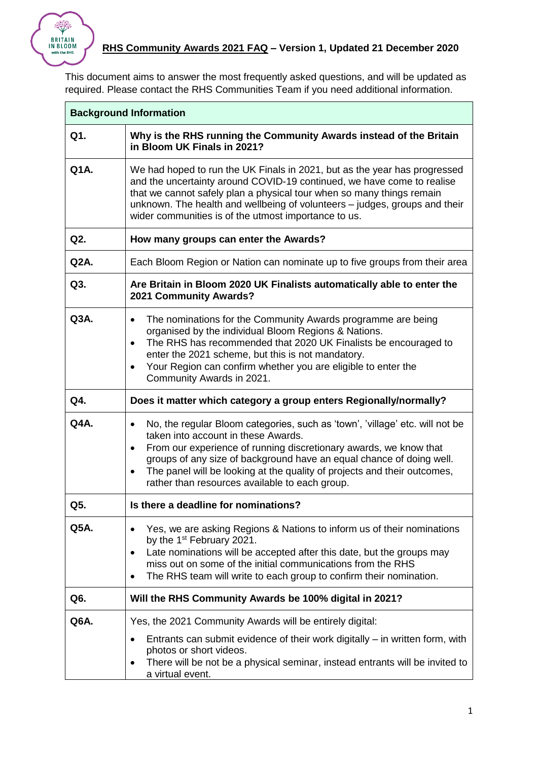

 $\mathbf{r}$ 

This document aims to answer the most frequently asked questions, and will be updated as required. Please contact the RHS Communities Team if you need additional information.

| <b>Background Information</b> |                                                                                                                                                                                                                                                                                                                                                                                                                                       |  |
|-------------------------------|---------------------------------------------------------------------------------------------------------------------------------------------------------------------------------------------------------------------------------------------------------------------------------------------------------------------------------------------------------------------------------------------------------------------------------------|--|
| Q1.                           | Why is the RHS running the Community Awards instead of the Britain<br>in Bloom UK Finals in 2021?                                                                                                                                                                                                                                                                                                                                     |  |
| Q1A.                          | We had hoped to run the UK Finals in 2021, but as the year has progressed<br>and the uncertainty around COVID-19 continued, we have come to realise<br>that we cannot safely plan a physical tour when so many things remain<br>unknown. The health and wellbeing of volunteers - judges, groups and their<br>wider communities is of the utmost importance to us.                                                                    |  |
| Q2.                           | How many groups can enter the Awards?                                                                                                                                                                                                                                                                                                                                                                                                 |  |
| $Q2A$ .                       | Each Bloom Region or Nation can nominate up to five groups from their area                                                                                                                                                                                                                                                                                                                                                            |  |
| Q3.                           | Are Britain in Bloom 2020 UK Finalists automatically able to enter the<br>2021 Community Awards?                                                                                                                                                                                                                                                                                                                                      |  |
| Q3A.                          | The nominations for the Community Awards programme are being<br>$\bullet$<br>organised by the individual Bloom Regions & Nations.<br>The RHS has recommended that 2020 UK Finalists be encouraged to<br>$\bullet$<br>enter the 2021 scheme, but this is not mandatory.<br>Your Region can confirm whether you are eligible to enter the<br>$\bullet$<br>Community Awards in 2021.                                                     |  |
| Q4.                           | Does it matter which category a group enters Regionally/normally?                                                                                                                                                                                                                                                                                                                                                                     |  |
| Q4A.                          | No, the regular Bloom categories, such as 'town', 'village' etc. will not be<br>$\bullet$<br>taken into account in these Awards.<br>From our experience of running discretionary awards, we know that<br>$\bullet$<br>groups of any size of background have an equal chance of doing well.<br>The panel will be looking at the quality of projects and their outcomes,<br>$\bullet$<br>rather than resources available to each group. |  |
| Q5.                           | Is there a deadline for nominations?                                                                                                                                                                                                                                                                                                                                                                                                  |  |
| Q5A.                          | Yes, we are asking Regions & Nations to inform us of their nominations<br>$\bullet$<br>by the 1 <sup>st</sup> February 2021.<br>Late nominations will be accepted after this date, but the groups may<br>$\bullet$<br>miss out on some of the initial communications from the RHS<br>The RHS team will write to each group to confirm their nomination.<br>$\bullet$                                                                  |  |
| Q6.                           | Will the RHS Community Awards be 100% digital in 2021?                                                                                                                                                                                                                                                                                                                                                                                |  |
| Q6A.                          | Yes, the 2021 Community Awards will be entirely digital:<br>Entrants can submit evidence of their work digitally – in written form, with<br>$\bullet$<br>photos or short videos.<br>There will be not be a physical seminar, instead entrants will be invited to<br>$\bullet$<br>a virtual event.                                                                                                                                     |  |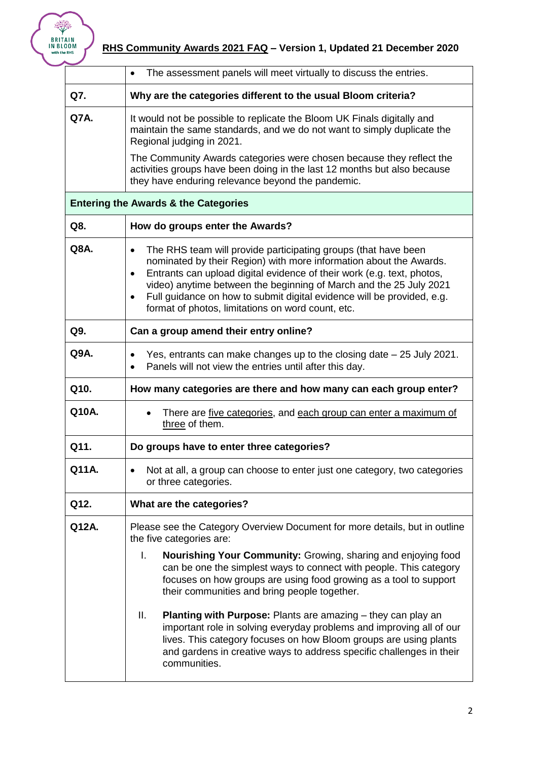

|       | The assessment panels will meet virtually to discuss the entries.<br>$\bullet$                                                                                                                                                                                                                                                                                                                                                                             |
|-------|------------------------------------------------------------------------------------------------------------------------------------------------------------------------------------------------------------------------------------------------------------------------------------------------------------------------------------------------------------------------------------------------------------------------------------------------------------|
| Q7.   | Why are the categories different to the usual Bloom criteria?                                                                                                                                                                                                                                                                                                                                                                                              |
| Q7A.  | It would not be possible to replicate the Bloom UK Finals digitally and<br>maintain the same standards, and we do not want to simply duplicate the<br>Regional judging in 2021.                                                                                                                                                                                                                                                                            |
|       | The Community Awards categories were chosen because they reflect the<br>activities groups have been doing in the last 12 months but also because<br>they have enduring relevance beyond the pandemic.                                                                                                                                                                                                                                                      |
|       | <b>Entering the Awards &amp; the Categories</b>                                                                                                                                                                                                                                                                                                                                                                                                            |
| Q8.   | How do groups enter the Awards?                                                                                                                                                                                                                                                                                                                                                                                                                            |
| Q8A.  | The RHS team will provide participating groups (that have been<br>$\bullet$<br>nominated by their Region) with more information about the Awards.<br>Entrants can upload digital evidence of their work (e.g. text, photos,<br>$\bullet$<br>video) anytime between the beginning of March and the 25 July 2021<br>Full guidance on how to submit digital evidence will be provided, e.g.<br>$\bullet$<br>format of photos, limitations on word count, etc. |
| Q9.   | Can a group amend their entry online?                                                                                                                                                                                                                                                                                                                                                                                                                      |
| Q9A.  | Yes, entrants can make changes up to the closing date - 25 July 2021.<br>٠<br>Panels will not view the entries until after this day.<br>$\bullet$                                                                                                                                                                                                                                                                                                          |
| Q10.  | How many categories are there and how many can each group enter?                                                                                                                                                                                                                                                                                                                                                                                           |
| Q10A. | There are five categories, and each group can enter a maximum of<br>three of them.                                                                                                                                                                                                                                                                                                                                                                         |
| Q11.  | Do groups have to enter three categories?                                                                                                                                                                                                                                                                                                                                                                                                                  |
| Q11A. | Not at all, a group can choose to enter just one category, two categories<br>or three categories.                                                                                                                                                                                                                                                                                                                                                          |
| Q12.  | What are the categories?                                                                                                                                                                                                                                                                                                                                                                                                                                   |
| Q12A. | Please see the Category Overview Document for more details, but in outline<br>the five categories are:                                                                                                                                                                                                                                                                                                                                                     |
|       | Nourishing Your Community: Growing, sharing and enjoying food<br>I.<br>can be one the simplest ways to connect with people. This category<br>focuses on how groups are using food growing as a tool to support<br>their communities and bring people together.                                                                                                                                                                                             |
|       | Ш.<br>Planting with Purpose: Plants are amazing - they can play an<br>important role in solving everyday problems and improving all of our<br>lives. This category focuses on how Bloom groups are using plants<br>and gardens in creative ways to address specific challenges in their<br>communities.                                                                                                                                                    |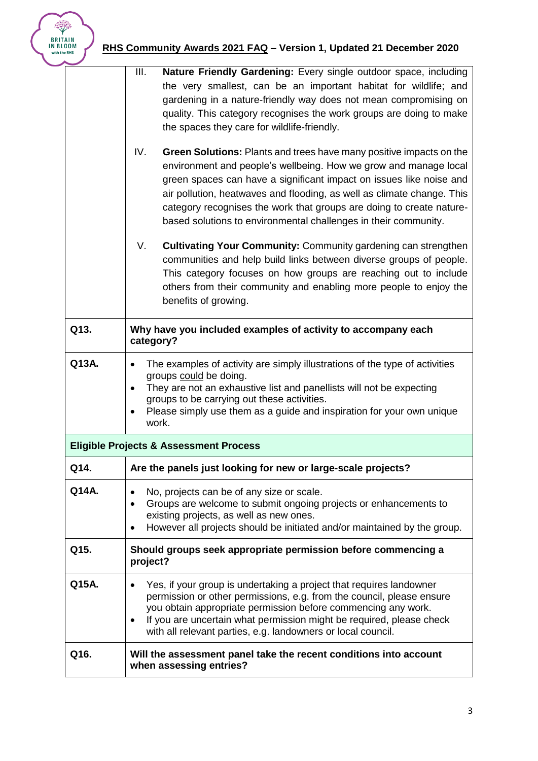## **RHS Community Awards 2021 FAQ – Version 1, Updated 21 December 2020**

|                                                   | III.<br>Nature Friendly Gardening: Every single outdoor space, including<br>the very smallest, can be an important habitat for wildlife; and<br>gardening in a nature-friendly way does not mean compromising on<br>quality. This category recognises the work groups are doing to make<br>the spaces they care for wildlife-friendly.<br>IV.<br><b>Green Solutions:</b> Plants and trees have many positive impacts on the<br>environment and people's wellbeing. How we grow and manage local<br>green spaces can have a significant impact on issues like noise and<br>air pollution, heatwaves and flooding, as well as climate change. This<br>category recognises the work that groups are doing to create nature- |  |
|---------------------------------------------------|--------------------------------------------------------------------------------------------------------------------------------------------------------------------------------------------------------------------------------------------------------------------------------------------------------------------------------------------------------------------------------------------------------------------------------------------------------------------------------------------------------------------------------------------------------------------------------------------------------------------------------------------------------------------------------------------------------------------------|--|
|                                                   | based solutions to environmental challenges in their community.<br><b>Cultivating Your Community: Community gardening can strengthen</b><br>V.<br>communities and help build links between diverse groups of people.<br>This category focuses on how groups are reaching out to include<br>others from their community and enabling more people to enjoy the<br>benefits of growing.                                                                                                                                                                                                                                                                                                                                     |  |
| Q13.                                              | Why have you included examples of activity to accompany each<br>category?                                                                                                                                                                                                                                                                                                                                                                                                                                                                                                                                                                                                                                                |  |
| Q13A.                                             | The examples of activity are simply illustrations of the type of activities<br>$\bullet$<br>groups could be doing.<br>They are not an exhaustive list and panellists will not be expecting<br>$\bullet$<br>groups to be carrying out these activities.<br>Please simply use them as a guide and inspiration for your own unique<br>٠<br>work.                                                                                                                                                                                                                                                                                                                                                                            |  |
| <b>Eligible Projects &amp; Assessment Process</b> |                                                                                                                                                                                                                                                                                                                                                                                                                                                                                                                                                                                                                                                                                                                          |  |
| Q14.                                              | Are the panels just looking for new or large-scale projects?                                                                                                                                                                                                                                                                                                                                                                                                                                                                                                                                                                                                                                                             |  |
| Q14A.                                             | No, projects can be of any size or scale.<br>Groups are welcome to submit ongoing projects or enhancements to<br>$\bullet$<br>existing projects, as well as new ones.<br>However all projects should be initiated and/or maintained by the group.<br>$\bullet$                                                                                                                                                                                                                                                                                                                                                                                                                                                           |  |
| Q15.                                              | Should groups seek appropriate permission before commencing a<br>project?                                                                                                                                                                                                                                                                                                                                                                                                                                                                                                                                                                                                                                                |  |
| Q15A.                                             | Yes, if your group is undertaking a project that requires landowner<br>$\bullet$<br>permission or other permissions, e.g. from the council, please ensure<br>you obtain appropriate permission before commencing any work.<br>If you are uncertain what permission might be required, please check<br>$\bullet$<br>with all relevant parties, e.g. landowners or local council.                                                                                                                                                                                                                                                                                                                                          |  |
| Q16.                                              | Will the assessment panel take the recent conditions into account<br>when assessing entries?                                                                                                                                                                                                                                                                                                                                                                                                                                                                                                                                                                                                                             |  |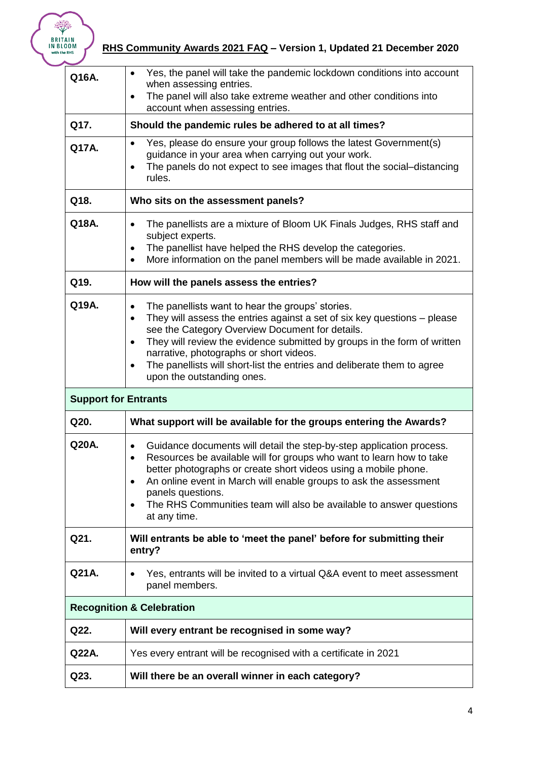

## **RHS Community Awards 2021 FAQ – Version 1, Updated 21 December 2020**

| Q16A.                                | Yes, the panel will take the pandemic lockdown conditions into account<br>$\bullet$<br>when assessing entries.<br>The panel will also take extreme weather and other conditions into<br>$\bullet$<br>account when assessing entries.                                                                                                                                                                                                                                |  |  |
|--------------------------------------|---------------------------------------------------------------------------------------------------------------------------------------------------------------------------------------------------------------------------------------------------------------------------------------------------------------------------------------------------------------------------------------------------------------------------------------------------------------------|--|--|
| Q17.                                 | Should the pandemic rules be adhered to at all times?                                                                                                                                                                                                                                                                                                                                                                                                               |  |  |
| Q17A.                                | Yes, please do ensure your group follows the latest Government(s)<br>$\bullet$<br>guidance in your area when carrying out your work.<br>The panels do not expect to see images that flout the social-distancing<br>٠<br>rules.                                                                                                                                                                                                                                      |  |  |
| Q18.                                 | Who sits on the assessment panels?                                                                                                                                                                                                                                                                                                                                                                                                                                  |  |  |
| Q18A.                                | The panellists are a mixture of Bloom UK Finals Judges, RHS staff and<br>$\bullet$<br>subject experts.<br>The panellist have helped the RHS develop the categories.<br>$\bullet$<br>More information on the panel members will be made available in 2021.                                                                                                                                                                                                           |  |  |
| Q19.                                 | How will the panels assess the entries?                                                                                                                                                                                                                                                                                                                                                                                                                             |  |  |
| Q19A.                                | The panellists want to hear the groups' stories.<br>$\bullet$<br>They will assess the entries against a set of six key questions - please<br>$\bullet$<br>see the Category Overview Document for details.<br>They will review the evidence submitted by groups in the form of written<br>$\bullet$<br>narrative, photographs or short videos.<br>The panellists will short-list the entries and deliberate them to agree<br>$\bullet$<br>upon the outstanding ones. |  |  |
|                                      | <b>Support for Entrants</b>                                                                                                                                                                                                                                                                                                                                                                                                                                         |  |  |
| Q20.                                 | What support will be available for the groups entering the Awards?                                                                                                                                                                                                                                                                                                                                                                                                  |  |  |
| Q20A.                                | Guidance documents will detail the step-by-step application process.<br>$\bullet$<br>Resources be available will for groups who want to learn how to take<br>$\bullet$<br>better photographs or create short videos using a mobile phone.<br>An online event in March will enable groups to ask the assessment<br>$\bullet$<br>panels questions.<br>The RHS Communities team will also be available to answer questions<br>$\bullet$<br>at any time.                |  |  |
| Q21.                                 | Will entrants be able to 'meet the panel' before for submitting their<br>entry?                                                                                                                                                                                                                                                                                                                                                                                     |  |  |
| Q21A.                                | Yes, entrants will be invited to a virtual Q&A event to meet assessment<br>$\bullet$<br>panel members.                                                                                                                                                                                                                                                                                                                                                              |  |  |
| <b>Recognition &amp; Celebration</b> |                                                                                                                                                                                                                                                                                                                                                                                                                                                                     |  |  |
| Q22.                                 | Will every entrant be recognised in some way?                                                                                                                                                                                                                                                                                                                                                                                                                       |  |  |
| Q22A.                                | Yes every entrant will be recognised with a certificate in 2021                                                                                                                                                                                                                                                                                                                                                                                                     |  |  |
| Q23.                                 | Will there be an overall winner in each category?                                                                                                                                                                                                                                                                                                                                                                                                                   |  |  |